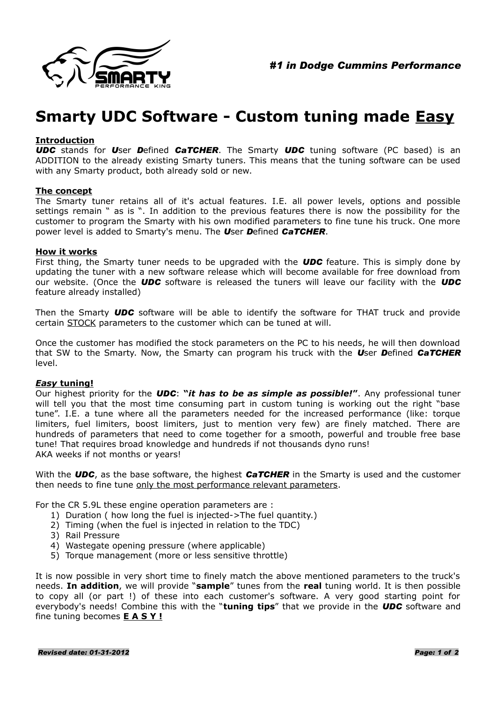

# **Smarty UDC Software - Custom tuning made Easy**

### **Introduction**

*UDC* stands for *U*ser *D*efined *CaTCHER*. The Smarty *UDC* tuning software (PC based) is an ADDITION to the already existing Smarty tuners. This means that the tuning software can be used with any Smarty product, both already sold or new.

#### **The concept**

The Smarty tuner retains all of it's actual features. I.E. all power levels, options and possible settings remain " as is ". In addition to the previous features there is now the possibility for the customer to program the Smarty with his own modified parameters to fine tune his truck. One more power level is added to Smarty's menu. The *U*ser *D*efined *CaTCHER*.

### **How it works**

First thing, the Smarty tuner needs to be upgraded with the *UDC* feature. This is simply done by updating the tuner with a new software release which will become available for free download from our website. (Once the *UDC* software is released the tuners will leave our facility with the *UDC* feature already installed)

Then the Smarty *UDC* software will be able to identify the software for THAT truck and provide certain STOCK parameters to the customer which can be tuned at will.

Once the customer has modified the stock parameters on the PC to his needs, he will then download that SW to the Smarty. Now, the Smarty can program his truck with the *U*ser *D*efined *CaTCHER* level.

#### *Easy* **tuning!**

Our highest priority for the *UDC*: **"***it has to be as simple as possible!***"**. Any professional tuner will tell you that the most time consuming part in custom tuning is working out the right "base tune". I.E. a tune where all the parameters needed for the increased performance (like: torque limiters, fuel limiters, boost limiters, just to mention very few) are finely matched. There are hundreds of parameters that need to come together for a smooth, powerful and trouble free base tune! That requires broad knowledge and hundreds if not thousands dyno runs! AKA weeks if not months or years!

With the *UDC*, as the base software, the highest *CaTCHER* in the Smarty is used and the customer then needs to fine tune only the most performance relevant parameters.

For the CR 5.9L these engine operation parameters are :

- 1) Duration ( how long the fuel is injected->The fuel quantity.)
- 2) Timing (when the fuel is injected in relation to the TDC)
- 3) Rail Pressure
- 4) Wastegate opening pressure (where applicable)
- 5) Torque management (more or less sensitive throttle)

It is now possible in very short time to finely match the above mentioned parameters to the truck's needs. **In addition**, we will provide "**sample**" tunes from the **real** tuning world. It is then possible to copy all (or part !) of these into each customer's software. A very good starting point for everybody's needs! Combine this with the "**tuning tips**" that we provide in the *UDC* software and fine tuning becomes **E A S Y !**